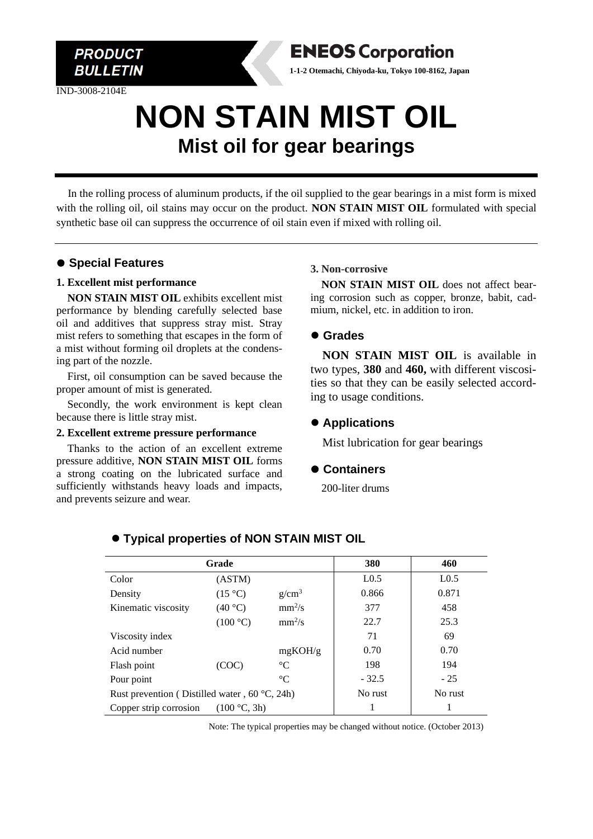

IND-3008-2104E



# **NON STAIN MIST OIL Mist oil for gear bearings**

In the rolling process of aluminum products, if the oil supplied to the gear bearings in a mist form is mixed with the rolling oil, oil stains may occur on the product. **NON STAIN MIST OIL** formulated with special synthetic base oil can suppress the occurrence of oil stain even if mixed with rolling oil.

# ⚫ **Special Features**

#### **1. Excellent mist performance**

**NON STAIN MIST OIL** exhibits excellent mist performance by blending carefully selected base oil and additives that suppress stray mist. Stray mist refers to something that escapes in the form of a mist without forming oil droplets at the condensing part of the nozzle.

First, oil consumption can be saved because the proper amount of mist is generated.

Secondly, the work environment is kept clean because there is little stray mist.

#### **2. Excellent extreme pressure performance**

Thanks to the action of an excellent extreme pressure additive, **NON STAIN MIST OIL** forms a strong coating on the lubricated surface and sufficiently withstands heavy loads and impacts, and prevents seizure and wear.

#### **3. Non-corrosive**

**NON STAIN MIST OIL** does not affect bearing corrosion such as copper, bronze, babit, cadmium, nickel, etc. in addition to iron.

#### ⚫ **Grades**

**NON STAIN MIST OIL** is available in two types, **380** and **460,** with different viscosities so that they can be easily selected according to usage conditions.

# ⚫ **Applications**

Mist lubrication for gear bearings

# ⚫ **Containers**

200-liter drums

| Grade                                                  |                  |             | 380              | 460              |
|--------------------------------------------------------|------------------|-------------|------------------|------------------|
| Color                                                  | (ASTM)           |             | L <sub>0.5</sub> | L <sub>0.5</sub> |
| Density                                                | $(15 \degree C)$ | $g/cm^3$    | 0.866            | 0.871            |
| Kinematic viscosity                                    | (40 °C)          | $mm^2/s$    | 377              | 458              |
|                                                        | (100 °C)         | $mm^2/s$    | 22.7             | 25.3             |
| Viscosity index                                        |                  |             | 71               | 69               |
| Acid number                                            |                  | mgKOH/g     | 0.70             | 0.70             |
| Flash point                                            | (COC)            | $^{\circ}C$ | 198              | 194              |
| Pour point                                             |                  | $^{\circ}C$ | $-32.5$          | $-25$            |
| Rust prevention (Distilled water, $60^{\circ}$ C, 24h) |                  |             | No rust          | No rust          |
| (100 °C, 3h)<br>Copper strip corrosion                 |                  |             |                  |                  |

# ⚫ **Typical properties of NON STAIN MIST OIL**

Note: The typical properties may be changed without notice. (October 2013)